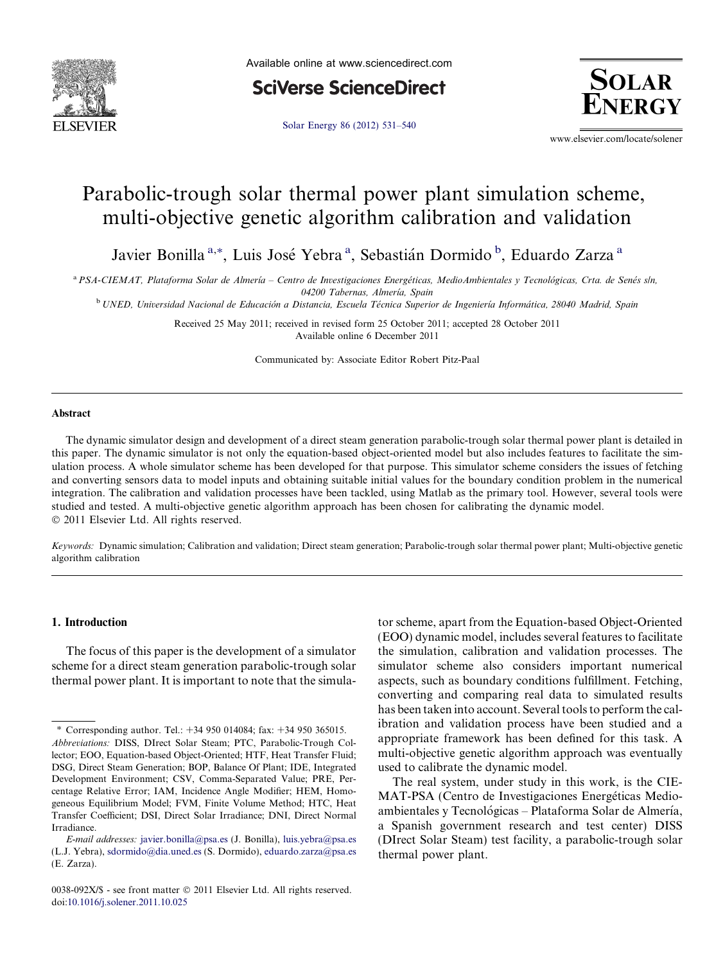

Available online at www.sciencedirect.com

**SciVerse ScienceDirect** 



[Solar Energy 86 \(2012\) 531–540](http://dx.doi.org/10.1016/j.solener.2011.10.025)

www.elsevier.com/locate/solener

# Parabolic-trough solar thermal power plant simulation scheme, multi-objective genetic algorithm calibration and validation

Javier Bonilla<sup>a,\*</sup>, Luis José Yebra<sup>a</sup>, Sebastián Dormido <sup>b</sup>, Eduardo Zarza<sup>a</sup>

<sup>a</sup> PSA-CIEMAT, Plataforma Solar de Almería – Centro de Investigaciones Energéticas, MedioAmbientales y Tecnológicas, Crta. de Senés s/n, 04200 Tabernas, Almería, Spain

<sup>b</sup> UNED, Universidad Nacional de Educación a Distancia, Escuela Técnica Superior de Ingeniería Informática, 28040 Madrid, Spain

Received 25 May 2011; received in revised form 25 October 2011; accepted 28 October 2011 Available online 6 December 2011

Communicated by: Associate Editor Robert Pitz-Paal

#### Abstract

The dynamic simulator design and development of a direct steam generation parabolic-trough solar thermal power plant is detailed in this paper. The dynamic simulator is not only the equation-based object-oriented model but also includes features to facilitate the simulation process. A whole simulator scheme has been developed for that purpose. This simulator scheme considers the issues of fetching and converting sensors data to model inputs and obtaining suitable initial values for the boundary condition problem in the numerical integration. The calibration and validation processes have been tackled, using Matlab as the primary tool. However, several tools were studied and tested. A multi-objective genetic algorithm approach has been chosen for calibrating the dynamic model.  $© 2011$  Elsevier Ltd. All rights reserved.

Keywords: Dynamic simulation; Calibration and validation; Direct steam generation; Parabolic-trough solar thermal power plant; Multi-objective genetic algorithm calibration

## 1. Introduction

The focus of this paper is the development of a simulator scheme for a direct steam generation parabolic-trough solar thermal power plant. It is important to note that the simulator scheme, apart from the Equation-based Object-Oriented (EOO) dynamic model, includes several features to facilitate the simulation, calibration and validation processes. The simulator scheme also considers important numerical aspects, such as boundary conditions fulfillment. Fetching, converting and comparing real data to simulated results has been taken into account. Several tools to perform the calibration and validation process have been studied and a appropriate framework has been defined for this task. A multi-objective genetic algorithm approach was eventually used to calibrate the dynamic model.

The real system, under study in this work, is the CIE-MAT-PSA (Centro de Investigaciones Energéticas Medioambientales y Tecnológicas – Plataforma Solar de Almería, a Spanish government research and test center) DISS (DIrect Solar Steam) test facility, a parabolic-trough solar thermal power plant.

<sup>⇑</sup> Corresponding author. Tel.: +34 950 014084; fax: +34 950 365015. Abbreviations: DISS, DIrect Solar Steam; PTC, Parabolic-Trough Collector; EOO, Equation-based Object-Oriented; HTF, Heat Transfer Fluid; DSG, Direct Steam Generation; BOP, Balance Of Plant; IDE, Integrated Development Environment; CSV, Comma-Separated Value; PRE, Percentage Relative Error; IAM, Incidence Angle Modifier; HEM, Homogeneous Equilibrium Model; FVM, Finite Volume Method; HTC, Heat Transfer Coefficient; DSI, Direct Solar Irradiance; DNI, Direct Normal Irradiance.

E-mail addresses: [javier.bonilla@psa.es](mailto:javier.bonilla@psa.es) (J. Bonilla), [luis.yebra@psa.es](mailto:luis.yebra@psa.es) (L.J. Yebra), [sdormido@dia.uned.es](mailto:sdormido@dia.uned.es) (S. Dormido), [eduardo.zarza@psa.es](mailto:eduardo.zarza@psa.es) (E. Zarza).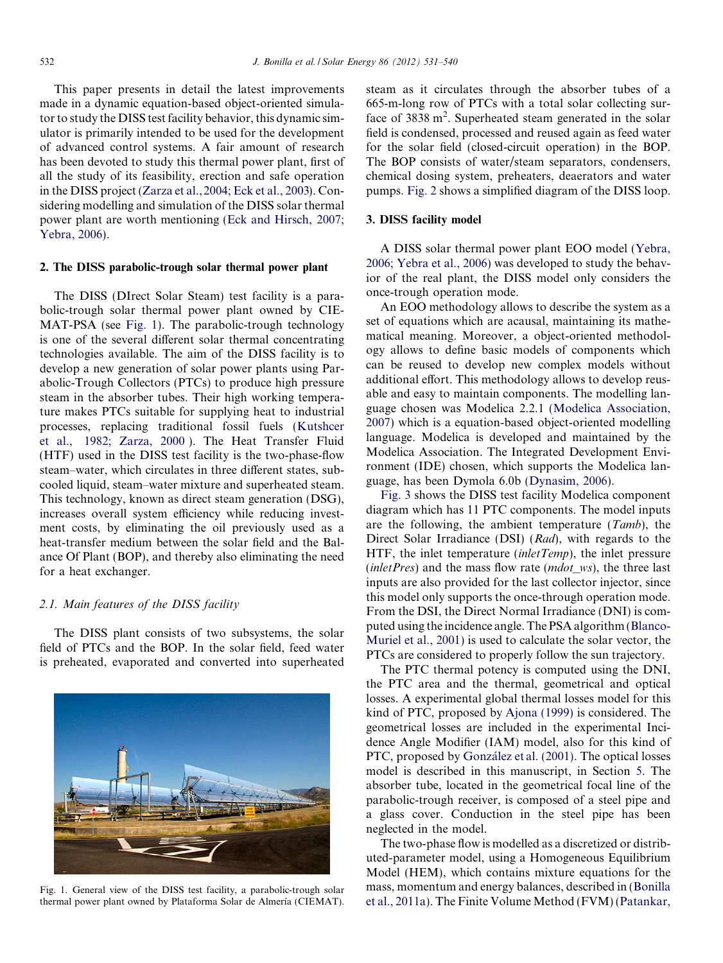This paper presents in detail the latest improvements made in a dynamic equation-based object-oriented simulator to study the DISS test facility behavior, this dynamic simulator is primarily intended to be used for the development of advanced control systems. A fair amount of research has been devoted to study this thermal power plant, first of all the study of its feasibility, erection and safe operation in the DISS project [\(Zarza et al., 2004; Eck et al., 2003\)](#page--1-0). Considering modelling and simulation of the DISS solar thermal power plant are worth mentioning [\(Eck and Hirsch, 2007;](#page--1-0) [Yebra, 2006](#page--1-0)).

#### 2. The DISS parabolic-trough solar thermal power plant

The DISS (DIrect Solar Steam) test facility is a parabolic-trough solar thermal power plant owned by CIE-MAT-PSA (see Fig. 1). The parabolic-trough technology is one of the several different solar thermal concentrating technologies available. The aim of the DISS facility is to develop a new generation of solar power plants using Parabolic-Trough Collectors (PTCs) to produce high pressure steam in the absorber tubes. Their high working temperature makes PTCs suitable for supplying heat to industrial processes, replacing traditional fossil fuels ([Kutshcer](#page--1-0) [et al., 1982; Zarza, 2000](#page--1-0) ). The Heat Transfer Fluid (HTF) used in the DISS test facility is the two-phase-flow steam–water, which circulates in three different states, subcooled liquid, steam–water mixture and superheated steam. This technology, known as direct steam generation (DSG), increases overall system efficiency while reducing investment costs, by eliminating the oil previously used as a heat-transfer medium between the solar field and the Balance Of Plant (BOP), and thereby also eliminating the need for a heat exchanger.

### 2.1. Main features of the DISS facility

The DISS plant consists of two subsystems, the solar field of PTCs and the BOP. In the solar field, feed water is preheated, evaporated and converted into superheated



Fig. 1. General view of the DISS test facility, a parabolic-trough solar thermal power plant owned by Plataforma Solar de Almería (CIEMAT).

steam as it circulates through the absorber tubes of a 665-m-long row of PTCs with a total solar collecting surface of  $3838 \text{ m}^2$ . Superheated steam generated in the solar field is condensed, processed and reused again as feed water for the solar field (closed-circuit operation) in the BOP. The BOP consists of water/steam separators, condensers, chemical dosing system, preheaters, deaerators and water pumps. [Fig. 2](#page--1-0) shows a simplified diagram of the DISS loop.

### 3. DISS facility model

A DISS solar thermal power plant EOO model ([Yebra,](#page--1-0) [2006; Yebra et al., 2006\)](#page--1-0) was developed to study the behavior of the real plant, the DISS model only considers the once-trough operation mode.

An EOO methodology allows to describe the system as a set of equations which are acausal, maintaining its mathematical meaning. Moreover, a object-oriented methodology allows to define basic models of components which can be reused to develop new complex models without additional effort. This methodology allows to develop reusable and easy to maintain components. The modelling language chosen was Modelica 2.2.1 ([Modelica Association,](#page--1-0) [2007\)](#page--1-0) which is a equation-based object-oriented modelling language. Modelica is developed and maintained by the Modelica Association. The Integrated Development Environment (IDE) chosen, which supports the Modelica language, has been Dymola 6.0b [\(Dynasim, 2006\)](#page--1-0).

[Fig. 3](#page--1-0) shows the DISS test facility Modelica component diagram which has 11 PTC components. The model inputs are the following, the ambient temperature (Tamb), the Direct Solar Irradiance (DSI) (Rad), with regards to the HTF, the inlet temperature *(inletTemp)*, the inlet pressure (*inletPres*) and the mass flow rate (*mdot* ws), the three last inputs are also provided for the last collector injector, since this model only supports the once-through operation mode. From the DSI, the Direct Normal Irradiance (DNI) is computed using the incidence angle. The PSA algorithm ([Blanco-](#page--1-0)[Muriel et al., 2001\)](#page--1-0) is used to calculate the solar vector, the PTCs are considered to properly follow the sun trajectory.

The PTC thermal potency is computed using the DNI, the PTC area and the thermal, geometrical and optical losses. A experimental global thermal losses model for this kind of PTC, proposed by [Ajona \(1999\)](#page--1-0) is considered. The geometrical losses are included in the experimental Incidence Angle Modifier (IAM) model, also for this kind of PTC, proposed by González et al. (2001). The optical losses model is described in this manuscript, in Section [5](#page--1-0). The absorber tube, located in the geometrical focal line of the parabolic-trough receiver, is composed of a steel pipe and a glass cover. Conduction in the steel pipe has been neglected in the model.

The two-phase flow is modelled as a discretized or distributed-parameter model, using a Homogeneous Equilibrium Model (HEM), which contains mixture equations for the mass, momentum and energy balances, described in ([Bonilla](#page--1-0) [et al., 2011a](#page--1-0)). The Finite Volume Method (FVM) ([Patankar,](#page--1-0)